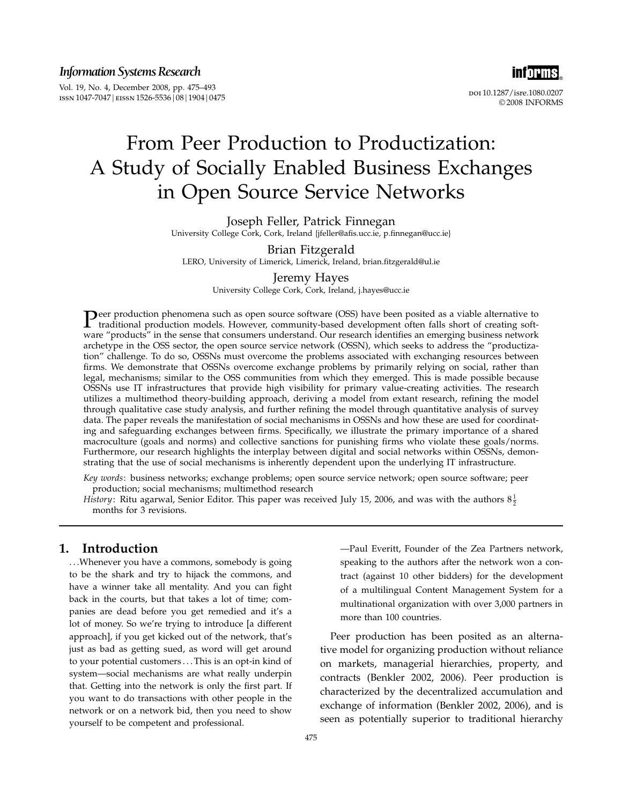*Information Systems Research* 

Vol. 19, No. 4, December 2008, pp. 475–493 issn1047-7047 ! eissn1526-5536 ! 08 ! 1904 ! 0475

# From Peer Production to Productization: A Study of Socially Enabled Business Exchanges in Open Source Service Networks

# Joseph Feller, Patrick Finnegan

University College Cork, Cork, Ireland {jfeller@afis.ucc.ie, p.finnegan@ucc.ie}

# Brian Fitzgerald

LERO, University of Limerick, Limerick, Ireland, brian.fitzgerald@ul.ie

### Jeremy Hayes

University College Cork, Cork, Ireland, j.hayes@ucc.ie

**Peer production phenomena such as open source software (OSS) have been posited as a viable alternative to traditional production models. However, community-based development often falls short of creating soft**ware "products" in the sense that consumers understand. Our research identifies an emerging business network archetype in the OSS sector, the open source service network (OSSN), which seeks to address the "productization" challenge. To do so, OSSNs must overcome the problems associated with exchanging resources between firms. We demonstrate that OSSNs overcome exchange problems by primarily relying on social, rather than legal, mechanisms; similar to the OSS communities from which they emerged. This is made possible because OSSNs use IT infrastructures that provide high visibility for primary value-creating activities. The research utilizes a multimethod theory-building approach, deriving a model from extant research, refining the model through qualitative case study analysis, and further refining the model through quantitative analysis of survey data. The paper reveals the manifestation of social mechanisms in OSSNs and how these are used for coordinating and safeguarding exchanges between firms. Specifically, we illustrate the primary importance of a shared macroculture (goals and norms) and collective sanctions for punishing firms who violate these goals/norms. Furthermore, our research highlights the interplay between digital and social networks within OSSNs, demonstrating that the use of social mechanisms is inherently dependent upon the underlying IT infrastructure.

Key words: business networks; exchange problems; open source service network; open source software; peer production; social mechanisms; multimethod research

*History*: Ritu agarwal, Senior Editor. This paper was received July 15, 2006, and was with the authors  $8\frac{1}{2}$ months for 3 revisions.

# 1. Introduction

...Whenever you have a commons, somebody is going to be the shark and try to hijack the commons, and have a winner take all mentality. And you can fight back in the courts, but that takes a lot of time; companies are dead before you get remedied and it's a lot of money. So we're trying to introduce [a different approach], if you get kicked out of the network, that's just as bad as getting sued, as word will get around to your potential customers ... This is an opt-in kind of system—social mechanisms are what really underpin that. Getting into the network is only the first part. If you want to do transactions with other people in the network or on a network bid, then you need to show yourself to be competent and professional.

—Paul Everitt, Founder of the Zea Partners network, speaking to the authors after the network won a contract (against 10 other bidders) for the development of a multilingual Content Management System for a multinational organization with over 3,000 partners in more than 100 countries.

Peer production has been posited as an alternative model for organizing production without reliance on markets, managerial hierarchies, property, and contracts (Benkler 2002, 2006). Peer production is characterized by the decentralized accumulation and exchange of information (Benkler 2002, 2006), and is seen as potentially superior to traditional hierarchy



doi 10.1287/isre.1080.0207 © 2008 INFORMS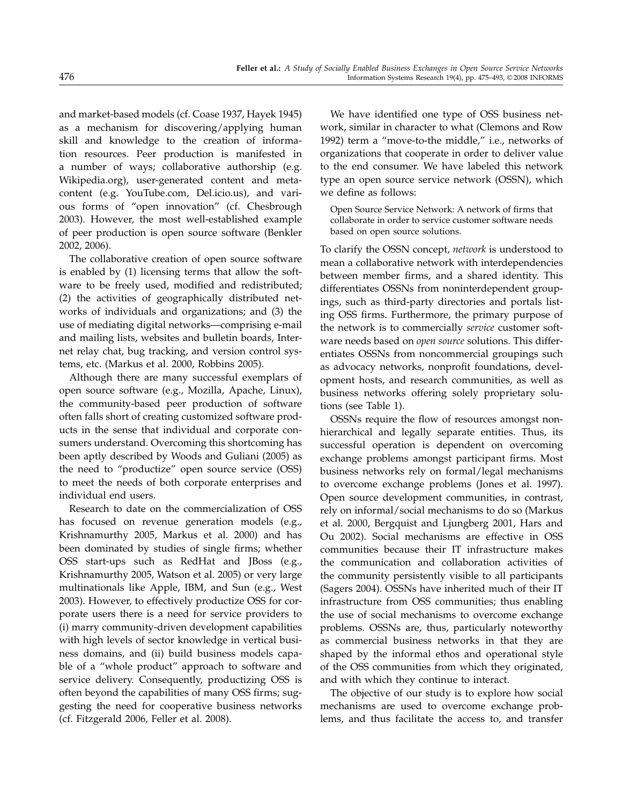and market-based models (cf. Coase 1937, Hayek 1945) as a mechanism for discovering/applying human skill and knowledge to the creation of information resources. Peer production is manifested in a number of ways; collaborative authorship (e.g. Wikipedia.org), user-generated content and metacontent (e.g. YouTube.com, Del.icio.us), and various forms of "open innovation" (cf. Chesbrough 2003). However, the most well-established example of peer production is open source software (Benkler 2002, 2006).

The collaborative creation of open source software is enabled by (1) licensing terms that allow the software to be freely used, modified and redistributed; (2) the activities of geographically distributed networks of individuals and organizations; and (3) the use of mediating digital networks—comprising e-mail and mailing lists, websites and bulletin boards, Internet relay chat, bug tracking, and version control systems, etc. (Markus et al. 2000, Robbins 2005).

Although there are many successful exemplars of open source software (e.g., Mozilla, Apache, Linux), the community-based peer production of software often falls short of creating customized software products in the sense that individual and corporate consumers understand. Overcoming this shortcoming has been aptly described by Woods and Guliani (2005) as the need to "productize" open source service (OSS) to meet the needs of both corporate enterprises and individual end users.

Research to date on the commercialization of OSS has focused on revenue generation models (e.g., Krishnamurthy 2005, Markus et al. 2000) and has been dominated by studies of single firms; whether OSS start-ups such as RedHat and JBoss (e.g., Krishnamurthy 2005, Watson et al. 2005) or very large multinationals like Apple, IBM, and Sun (e.g., West 2003). However, to effectively productize OSS for corporate users there is a need for service providers to (i) marry community-driven development capabilities with high levels of sector knowledge in vertical business domains, and (ii) build business models capable of a "whole product" approach to software and service delivery. Consequently, productizing OSS is often beyond the capabilities of many OSS firms; suggesting the need for cooperative business networks (cf. Fitzgerald 2006, Feller et al. 2008).

We have identified one type of OSS business network, similar in character to what (Clemons and Row 1992) term a "move-to-the middle," i.e., networks of organizations that cooperate in order to deliver value to the end consumer. We have labeled this network type an open source service network (OSSN), which we define as follows:

Open Source Service Network: A network of firms that collaborate in order to service customer software needs based on open source solutions.

To clarify the OSSN concept, network is understood to mean a collaborative network with interdependencies between member firms, and a shared identity. This differentiates OSSNs from noninterdependent groupings, such as third-party directories and portals listing OSS firms. Furthermore, the primary purpose of the network is to commercially service customer software needs based on open source solutions. This differentiates OSSNs from noncommercial groupings such as advocacy networks, nonprofit foundations, development hosts, and research communities, as well as business networks offering solely proprietary solutions (see Table 1).

OSSNs require the flow of resources amongst nonhierarchical and legally separate entities. Thus, its successful operation is dependent on overcoming exchange problems amongst participant firms. Most business networks rely on formal/legal mechanisms to overcome exchange problems (Jones et al. 1997). Open source development communities, in contrast, rely on informal/social mechanisms to do so (Markus et al. 2000, Bergquist and Ljungberg 2001, Hars and Ou 2002). Social mechanisms are effective in OSS communities because their IT infrastructure makes the communication and collaboration activities of the community persistently visible to all participants (Sagers 2004). OSSNs have inherited much of their IT infrastructure from OSS communities; thus enabling the use of social mechanisms to overcome exchange problems. OSSNs are, thus, particularly noteworthy as commercial business networks in that they are shaped by the informal ethos and operational style of the OSS communities from which they originated, and with which they continue to interact.

The objective of our study is to explore how social mechanisms are used to overcome exchange problems, and thus facilitate the access to, and transfer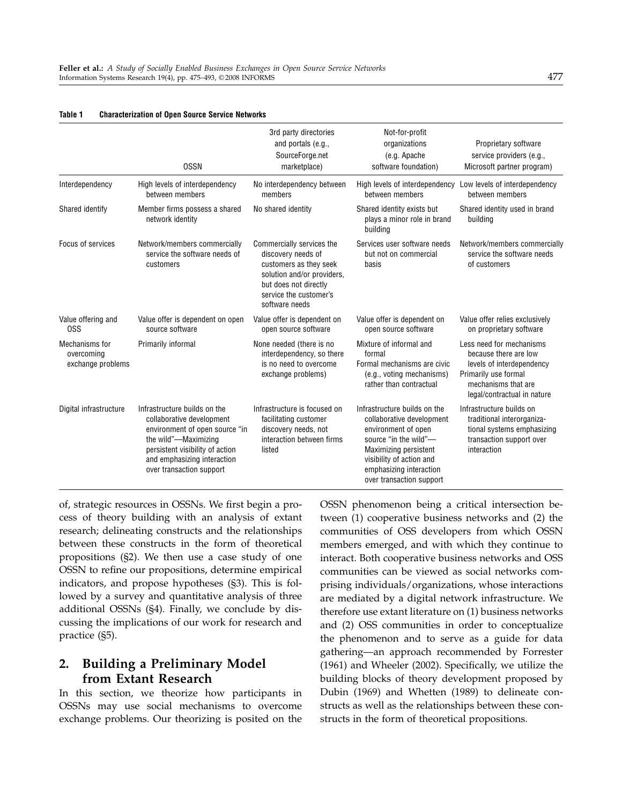|                                                   | <b>OSSN</b>                                                                                                                                                                                                       | 3rd party directories<br>and portals (e.g.,<br>SourceForge.net<br>marketplace)                                                                                               | Not-for-profit<br>organizations<br>(e.g. Apache<br>software foundation)                                                                                                                                               | Proprietary software<br>service providers (e.g.,<br>Microsoft partner program)                                                                               |
|---------------------------------------------------|-------------------------------------------------------------------------------------------------------------------------------------------------------------------------------------------------------------------|------------------------------------------------------------------------------------------------------------------------------------------------------------------------------|-----------------------------------------------------------------------------------------------------------------------------------------------------------------------------------------------------------------------|--------------------------------------------------------------------------------------------------------------------------------------------------------------|
| Interdependency                                   | High levels of interdependency<br>between members                                                                                                                                                                 | No interdependency between<br>members                                                                                                                                        | High levels of interdependency<br>between members                                                                                                                                                                     | Low levels of interdependency<br>between members                                                                                                             |
| Shared identify                                   | Member firms possess a shared<br>network identity                                                                                                                                                                 | No shared identity                                                                                                                                                           | Shared identity exists but<br>plays a minor role in brand<br>building                                                                                                                                                 | Shared identity used in brand<br>building                                                                                                                    |
| Focus of services                                 | Network/members commercially<br>service the software needs of<br>customers                                                                                                                                        | Commercially services the<br>discovery needs of<br>customers as they seek<br>solution and/or providers,<br>but does not directly<br>service the customer's<br>software needs | Services user software needs<br>but not on commercial<br>basis                                                                                                                                                        | Network/members commercially<br>service the software needs<br>of customers                                                                                   |
| Value offering and<br><sub>OSS</sub>              | Value offer is dependent on open<br>source software                                                                                                                                                               | Value offer is dependent on<br>open source software                                                                                                                          | Value offer is dependent on<br>open source software                                                                                                                                                                   | Value offer relies exclusively<br>on proprietary software                                                                                                    |
| Mechanisms for<br>overcoming<br>exchange problems | Primarily informal                                                                                                                                                                                                | None needed (there is no<br>interdependency, so there<br>is no need to overcome<br>exchange problems)                                                                        | Mixture of informal and<br>formal<br>Formal mechanisms are civic<br>(e.g., voting mechanisms)<br>rather than contractual                                                                                              | Less need for mechanisms<br>because there are low<br>levels of interdependency<br>Primarily use formal<br>mechanisms that are<br>legal/contractual in nature |
| Digital infrastructure                            | Infrastructure builds on the<br>collaborative development<br>environment of open source "in<br>the wild"-Maximizing<br>persistent visibility of action<br>and emphasizing interaction<br>over transaction support | Infrastructure is focused on<br>facilitating customer<br>discovery needs, not<br>interaction between firms<br>listed                                                         | Infrastructure builds on the<br>collaborative development<br>environment of open<br>source "in the wild"-<br>Maximizing persistent<br>visibility of action and<br>emphasizing interaction<br>over transaction support | Infrastructure builds on<br>traditional interorganiza-<br>tional systems emphasizing<br>transaction support over<br>interaction                              |

#### Table 1 Characterization of Open Source Service Networks

of, strategic resources in OSSNs. We first begin a process of theory building with an analysis of extant research; delineating constructs and the relationships between these constructs in the form of theoretical propositions (§2). We then use a case study of one OSSN to refine our propositions, determine empirical indicators, and propose hypotheses (§3). This is followed by a survey and quantitative analysis of three additional OSSNs (§4). Finally, we conclude by discussing the implications of our work for research and practice (§5).

# 2. Building a Preliminary Model from Extant Research

In this section, we theorize how participants in OSSNs may use social mechanisms to overcome exchange problems. Our theorizing is posited on the OSSN phenomenon being a critical intersection between (1) cooperative business networks and (2) the communities of OSS developers from which OSSN members emerged, and with which they continue to interact. Both cooperative business networks and OSS communities can be viewed as social networks comprising individuals/organizations, whose interactions are mediated by a digital network infrastructure. We therefore use extant literature on (1) business networks and (2) OSS communities in order to conceptualize the phenomenon and to serve as a guide for data gathering—an approach recommended by Forrester (1961) and Wheeler (2002). Specifically, we utilize the building blocks of theory development proposed by Dubin (1969) and Whetten (1989) to delineate constructs as well as the relationships between these constructs in the form of theoretical propositions.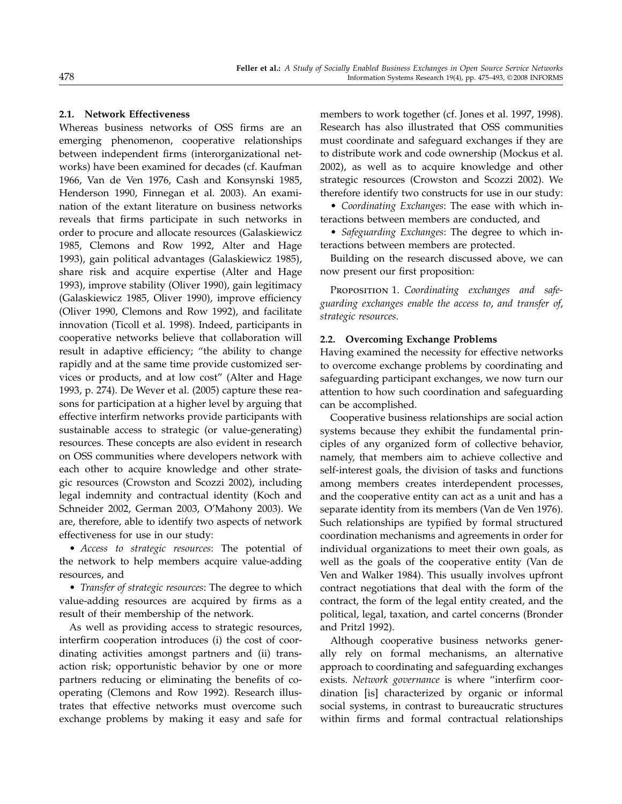# 2.1. Network Effectiveness

Whereas business networks of OSS firms are an emerging phenomenon, cooperative relationships between independent firms (interorganizational networks) have been examined for decades (cf. Kaufman 1966, Van de Ven 1976, Cash and Konsynski 1985, Henderson 1990, Finnegan et al. 2003). An examination of the extant literature on business networks reveals that firms participate in such networks in order to procure and allocate resources (Galaskiewicz 1985, Clemons and Row 1992, Alter and Hage 1993), gain political advantages (Galaskiewicz 1985), share risk and acquire expertise (Alter and Hage 1993), improve stability (Oliver 1990), gain legitimacy (Galaskiewicz 1985, Oliver 1990), improve efficiency (Oliver 1990, Clemons and Row 1992), and facilitate innovation (Ticoll et al. 1998). Indeed, participants in cooperative networks believe that collaboration will result in adaptive efficiency; "the ability to change rapidly and at the same time provide customized services or products, and at low cost" (Alter and Hage 1993, p. 274). De Wever et al. (2005) capture these reasons for participation at a higher level by arguing that effective interfirm networks provide participants with sustainable access to strategic (or value-generating) resources. These concepts are also evident in research on OSS communities where developers network with each other to acquire knowledge and other strategic resources (Crowston and Scozzi 2002), including legal indemnity and contractual identity (Koch and Schneider 2002, German 2003, O'Mahony 2003). We are, therefore, able to identify two aspects of network effectiveness for use in our study:

• Access to strategic resources: The potential of the network to help members acquire value-adding resources, and

• Transfer of strategic resources: The degree to which value-adding resources are acquired by firms as a result of their membership of the network.

As well as providing access to strategic resources, interfirm cooperation introduces (i) the cost of coordinating activities amongst partners and (ii) transaction risk; opportunistic behavior by one or more partners reducing or eliminating the benefits of cooperating (Clemons and Row 1992). Research illustrates that effective networks must overcome such exchange problems by making it easy and safe for

members to work together (cf. Jones et al. 1997, 1998). Research has also illustrated that OSS communities must coordinate and safeguard exchanges if they are to distribute work and code ownership (Mockus et al. 2002), as well as to acquire knowledge and other strategic resources (Crowston and Scozzi 2002). We therefore identify two constructs for use in our study:

• Coordinating Exchanges: The ease with which interactions between members are conducted, and

• Safeguarding Exchanges: The degree to which interactions between members are protected.

Building on the research discussed above, we can now present our first proposition:

PROPOSITION 1. Coordinating exchanges and safeguarding exchanges enable the access to, and transfer of, strategic resources.

# 2.2. Overcoming Exchange Problems

Having examined the necessity for effective networks to overcome exchange problems by coordinating and safeguarding participant exchanges, we now turn our attention to how such coordination and safeguarding can be accomplished.

Cooperative business relationships are social action systems because they exhibit the fundamental principles of any organized form of collective behavior, namely, that members aim to achieve collective and self-interest goals, the division of tasks and functions among members creates interdependent processes, and the cooperative entity can act as a unit and has a separate identity from its members (Van de Ven 1976). Such relationships are typified by formal structured coordination mechanisms and agreements in order for individual organizations to meet their own goals, as well as the goals of the cooperative entity (Van de Ven and Walker 1984). This usually involves upfront contract negotiations that deal with the form of the contract, the form of the legal entity created, and the political, legal, taxation, and cartel concerns (Bronder and Pritzl 1992).

Although cooperative business networks generally rely on formal mechanisms, an alternative approach to coordinating and safeguarding exchanges exists. Network governance is where "interfirm coordination [is] characterized by organic or informal social systems, in contrast to bureaucratic structures within firms and formal contractual relationships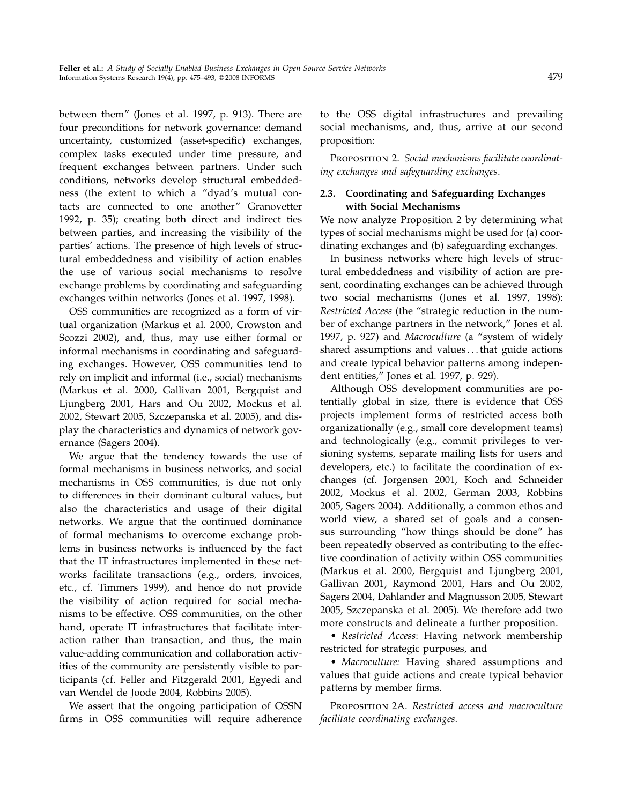between them" (Jones et al. 1997, p. 913). There are four preconditions for network governance: demand uncertainty, customized (asset-specific) exchanges, complex tasks executed under time pressure, and frequent exchanges between partners. Under such conditions, networks develop structural embeddedness (the extent to which a "dyad's mutual contacts are connected to one another" Granovetter 1992, p. 35); creating both direct and indirect ties between parties, and increasing the visibility of the parties' actions. The presence of high levels of structural embeddedness and visibility of action enables the use of various social mechanisms to resolve exchange problems by coordinating and safeguarding exchanges within networks (Jones et al. 1997, 1998).

OSS communities are recognized as a form of virtual organization (Markus et al. 2000, Crowston and Scozzi 2002), and, thus, may use either formal or informal mechanisms in coordinating and safeguarding exchanges. However, OSS communities tend to rely on implicit and informal (i.e., social) mechanisms (Markus et al. 2000, Gallivan 2001, Bergquist and Ljungberg 2001, Hars and Ou 2002, Mockus et al. 2002, Stewart 2005, Szczepanska et al. 2005), and display the characteristics and dynamics of network governance (Sagers 2004).

We argue that the tendency towards the use of formal mechanisms in business networks, and social mechanisms in OSS communities, is due not only to differences in their dominant cultural values, but also the characteristics and usage of their digital networks. We argue that the continued dominance of formal mechanisms to overcome exchange problems in business networks is influenced by the fact that the IT infrastructures implemented in these networks facilitate transactions (e.g., orders, invoices, etc., cf. Timmers 1999), and hence do not provide the visibility of action required for social mechanisms to be effective. OSS communities, on the other hand, operate IT infrastructures that facilitate interaction rather than transaction, and thus, the main value-adding communication and collaboration activities of the community are persistently visible to participants (cf. Feller and Fitzgerald 2001, Egyedi and van Wendel de Joode 2004, Robbins 2005).

We assert that the ongoing participation of OSSN firms in OSS communities will require adherence to the OSS digital infrastructures and prevailing social mechanisms, and, thus, arrive at our second proposition:

PROPOSITION 2. Social mechanisms facilitate coordinating exchanges and safeguarding exchanges.

# 2.3. Coordinating and Safeguarding Exchanges with Social Mechanisms

We now analyze Proposition 2 by determining what types of social mechanisms might be used for (a) coordinating exchanges and (b) safeguarding exchanges.

In business networks where high levels of structural embeddedness and visibility of action are present, coordinating exchanges can be achieved through two social mechanisms (Jones et al. 1997, 1998): Restricted Access (the "strategic reduction in the number of exchange partners in the network," Jones et al. 1997, p. 927) and Macroculture (a "system of widely shared assumptions and values...that guide actions and create typical behavior patterns among independent entities," Jones et al. 1997, p. 929).

Although OSS development communities are potentially global in size, there is evidence that OSS projects implement forms of restricted access both organizationally (e.g., small core development teams) and technologically (e.g., commit privileges to versioning systems, separate mailing lists for users and developers, etc.) to facilitate the coordination of exchanges (cf. Jorgensen 2001, Koch and Schneider 2002, Mockus et al. 2002, German 2003, Robbins 2005, Sagers 2004). Additionally, a common ethos and world view, a shared set of goals and a consensus surrounding "how things should be done" has been repeatedly observed as contributing to the effective coordination of activity within OSS communities (Markus et al. 2000, Bergquist and Ljungberg 2001, Gallivan 2001, Raymond 2001, Hars and Ou 2002, Sagers 2004, Dahlander and Magnusson 2005, Stewart 2005, Szczepanska et al. 2005). We therefore add two more constructs and delineate a further proposition.

• Restricted Access: Having network membership restricted for strategic purposes, and

• Macroculture: Having shared assumptions and values that guide actions and create typical behavior patterns by member firms.

PROPOSITION 2A. Restricted access and macroculture facilitate coordinating exchanges.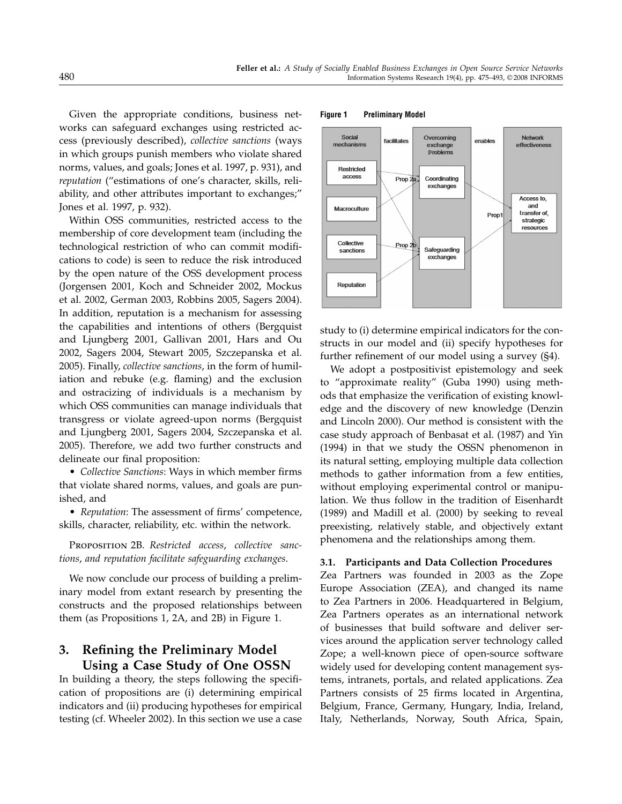Given the appropriate conditions, business networks can safeguard exchanges using restricted access (previously described), collective sanctions (ways in which groups punish members who violate shared norms, values, and goals; Jones et al. 1997, p. 931), and reputation ("estimations of one's character, skills, reliability, and other attributes important to exchanges;" Jones et al. 1997, p. 932).

Within OSS communities, restricted access to the membership of core development team (including the technological restriction of who can commit modifications to code) is seen to reduce the risk introduced by the open nature of the OSS development process (Jorgensen 2001, Koch and Schneider 2002, Mockus et al. 2002, German 2003, Robbins 2005, Sagers 2004). In addition, reputation is a mechanism for assessing the capabilities and intentions of others (Bergquist and Ljungberg 2001, Gallivan 2001, Hars and Ou 2002, Sagers 2004, Stewart 2005, Szczepanska et al. 2005). Finally, collective sanctions, in the form of humiliation and rebuke (e.g. flaming) and the exclusion and ostracizing of individuals is a mechanism by which OSS communities can manage individuals that transgress or violate agreed-upon norms (Bergquist and Ljungberg 2001, Sagers 2004, Szczepanska et al. 2005). Therefore, we add two further constructs and delineate our final proposition:

• Collective Sanctions: Ways in which member firms that violate shared norms, values, and goals are punished, and

• Reputation: The assessment of firms' competence, skills, character, reliability, etc. within the network.

PROPOSITION 2B. Restricted access, collective sanctions, and reputation facilitate safeguarding exchanges.

We now conclude our process of building a preliminary model from extant research by presenting the constructs and the proposed relationships between them (as Propositions 1, 2A, and 2B) in Figure 1.

# 3. Refining the Preliminary Model Using a Case Study of One OSSN

In building a theory, the steps following the specification of propositions are (i) determining empirical indicators and (ii) producing hypotheses for empirical testing (cf. Wheeler 2002). In this section we use a case





study to (i) determine empirical indicators for the constructs in our model and (ii) specify hypotheses for further refinement of our model using a survey (§4).

We adopt a postpositivist epistemology and seek to "approximate reality" (Guba 1990) using methods that emphasize the verification of existing knowledge and the discovery of new knowledge (Denzin and Lincoln 2000). Our method is consistent with the case study approach of Benbasat et al. (1987) and Yin (1994) in that we study the OSSN phenomenon in its natural setting, employing multiple data collection methods to gather information from a few entities, without employing experimental control or manipulation. We thus follow in the tradition of Eisenhardt (1989) and Madill et al. (2000) by seeking to reveal preexisting, relatively stable, and objectively extant phenomena and the relationships among them.

# 3.1. Participants and Data Collection Procedures

Zea Partners was founded in 2003 as the Zope Europe Association (ZEA), and changed its name to Zea Partners in 2006. Headquartered in Belgium, Zea Partners operates as an international network of businesses that build software and deliver services around the application server technology called Zope; a well-known piece of open-source software widely used for developing content management systems, intranets, portals, and related applications. Zea Partners consists of 25 firms located in Argentina, Belgium, France, Germany, Hungary, India, Ireland, Italy, Netherlands, Norway, South Africa, Spain,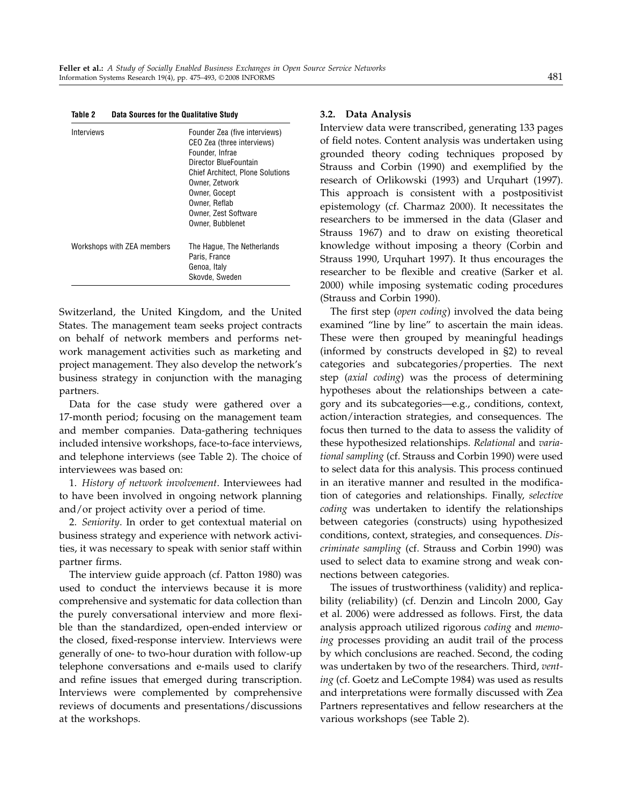Table 2 Data Sources for the Qualitative Study

| Interviews                 | Founder Zea (five interviews)<br>CEO Zea (three interviews)<br>Founder, Infrae<br>Director BlueFountain<br><b>Chief Architect, Plone Solutions</b><br>Owner, Zetwork<br>Owner, Gocept<br>Owner, Reflab<br>Owner, Zest Software<br>Owner, Bubblenet |
|----------------------------|----------------------------------------------------------------------------------------------------------------------------------------------------------------------------------------------------------------------------------------------------|
| Workshops with ZEA members | The Hague, The Netherlands<br>Paris, France<br>Genoa, Italy<br>Skovde, Sweden                                                                                                                                                                      |

Switzerland, the United Kingdom, and the United States. The management team seeks project contracts on behalf of network members and performs network management activities such as marketing and project management. They also develop the network's business strategy in conjunction with the managing partners.

Data for the case study were gathered over a 17-month period; focusing on the management team and member companies. Data-gathering techniques included intensive workshops, face-to-face interviews, and telephone interviews (see Table 2). The choice of interviewees was based on:

1. History of network involvement. Interviewees had to have been involved in ongoing network planning and/or project activity over a period of time.

2. Seniority. In order to get contextual material on business strategy and experience with network activities, it was necessary to speak with senior staff within partner firms.

The interview guide approach (cf. Patton 1980) was used to conduct the interviews because it is more comprehensive and systematic for data collection than the purely conversational interview and more flexible than the standardized, open-ended interview or the closed, fixed-response interview. Interviews were generally of one- to two-hour duration with follow-up telephone conversations and e-mails used to clarify and refine issues that emerged during transcription. Interviews were complemented by comprehensive reviews of documents and presentations/discussions at the workshops.

### 3.2. Data Analysis

Interview data were transcribed, generating 133 pages of field notes. Content analysis was undertaken using grounded theory coding techniques proposed by Strauss and Corbin (1990) and exemplified by the research of Orlikowski (1993) and Urquhart (1997). This approach is consistent with a postpositivist epistemology (cf. Charmaz 2000). It necessitates the researchers to be immersed in the data (Glaser and Strauss 1967) and to draw on existing theoretical knowledge without imposing a theory (Corbin and Strauss 1990, Urquhart 1997). It thus encourages the researcher to be flexible and creative (Sarker et al. 2000) while imposing systematic coding procedures (Strauss and Corbin 1990).

The first step (open coding) involved the data being examined "line by line" to ascertain the main ideas. These were then grouped by meaningful headings (informed by constructs developed in §2) to reveal categories and subcategories/properties. The next step (axial coding) was the process of determining hypotheses about the relationships between a category and its subcategories—e.g., conditions, context, action/interaction strategies, and consequences. The focus then turned to the data to assess the validity of these hypothesized relationships. Relational and variational sampling (cf. Strauss and Corbin 1990) were used to select data for this analysis. This process continued in an iterative manner and resulted in the modification of categories and relationships. Finally, selective coding was undertaken to identify the relationships between categories (constructs) using hypothesized conditions, context, strategies, and consequences. Discriminate sampling (cf. Strauss and Corbin 1990) was used to select data to examine strong and weak connections between categories.

The issues of trustworthiness (validity) and replicability (reliability) (cf. Denzin and Lincoln 2000, Gay et al. 2006) were addressed as follows. First, the data analysis approach utilized rigorous coding and memoing processes providing an audit trail of the process by which conclusions are reached. Second, the coding was undertaken by two of the researchers. Third, venting (cf. Goetz and LeCompte 1984) was used as results and interpretations were formally discussed with Zea Partners representatives and fellow researchers at the various workshops (see Table 2).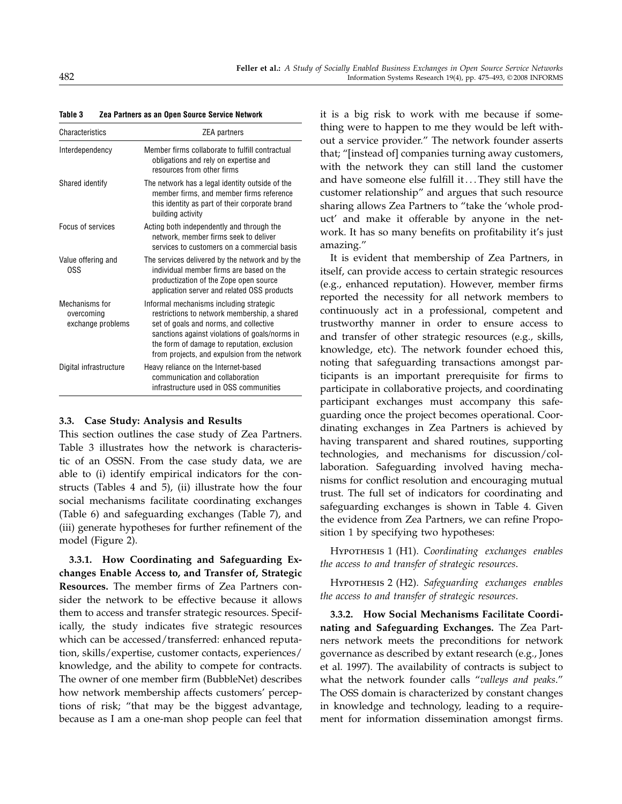| Table 3 | Zea Partners as an Open Source Service Network |  |  |  |  |
|---------|------------------------------------------------|--|--|--|--|
|---------|------------------------------------------------|--|--|--|--|

| Characteristics                                   | <b>ZEA</b> partners                                                                                                                                                                                                                                                                 |
|---------------------------------------------------|-------------------------------------------------------------------------------------------------------------------------------------------------------------------------------------------------------------------------------------------------------------------------------------|
| Interdependency                                   | Member firms collaborate to fulfill contractual<br>obligations and rely on expertise and<br>resources from other firms                                                                                                                                                              |
| <b>Shared identify</b>                            | The network has a legal identity outside of the<br>member firms, and member firms reference<br>this identity as part of their corporate brand<br>building activity                                                                                                                  |
| Focus of services                                 | Acting both independently and through the<br>network, member firms seek to deliver<br>services to customers on a commercial basis                                                                                                                                                   |
| Value offering and<br>0SS                         | The services delivered by the network and by the<br>individual member firms are based on the<br>productization of the Zope open source<br>application server and related OSS products                                                                                               |
| Mechanisms for<br>overcoming<br>exchange problems | Informal mechanisms including strategic<br>restrictions to network membership, a shared<br>set of goals and norms, and collective<br>sanctions against violations of goals/norms in<br>the form of damage to reputation, exclusion<br>from projects, and expulsion from the network |
| Digital infrastructure                            | Heavy reliance on the Internet-based<br>communication and collaboration<br>infrastructure used in OSS communities                                                                                                                                                                   |

# 3.3. Case Study: Analysis and Results

This section outlines the case study of Zea Partners. Table 3 illustrates how the network is characteristic of an OSSN. From the case study data, we are able to (i) identify empirical indicators for the constructs (Tables 4 and 5), (ii) illustrate how the four social mechanisms facilitate coordinating exchanges (Table 6) and safeguarding exchanges (Table 7), and (iii) generate hypotheses for further refinement of the model (Figure 2).

3.3.1. How Coordinating and Safeguarding Exchanges Enable Access to, and Transfer of, Strategic Resources. The member firms of Zea Partners consider the network to be effective because it allows them to access and transfer strategic resources. Specifically, the study indicates five strategic resources which can be accessed/transferred: enhanced reputation, skills/expertise, customer contacts, experiences/ knowledge, and the ability to compete for contracts. The owner of one member firm (BubbleNet) describes how network membership affects customers' perceptions of risk; "that may be the biggest advantage, because as I am a one-man shop people can feel that

it is a big risk to work with me because if something were to happen to me they would be left without a service provider." The network founder asserts that; "[instead of] companies turning away customers, with the network they can still land the customer and have someone else fulfill it... They still have the customer relationship" and argues that such resource sharing allows Zea Partners to "take the 'whole product' and make it offerable by anyone in the network. It has so many benefits on profitability it's just amazing."

It is evident that membership of Zea Partners, in itself, can provide access to certain strategic resources (e.g., enhanced reputation). However, member firms reported the necessity for all network members to continuously act in a professional, competent and trustworthy manner in order to ensure access to and transfer of other strategic resources (e.g., skills, knowledge, etc). The network founder echoed this, noting that safeguarding transactions amongst participants is an important prerequisite for firms to participate in collaborative projects, and coordinating participant exchanges must accompany this safeguarding once the project becomes operational. Coordinating exchanges in Zea Partners is achieved by having transparent and shared routines, supporting technologies, and mechanisms for discussion/collaboration. Safeguarding involved having mechanisms for conflict resolution and encouraging mutual trust. The full set of indicators for coordinating and safeguarding exchanges is shown in Table 4. Given the evidence from Zea Partners, we can refine Proposition 1 by specifying two hypotheses:

HYPOTHESIS 1 (H1). Coordinating exchanges enables the access to and transfer of strategic resources.

HYPOTHESIS 2 (H2). Safeguarding exchanges enables the access to and transfer of strategic resources.

3.3.2. How Social Mechanisms Facilitate Coordinating and Safeguarding Exchanges. The Zea Partners network meets the preconditions for network governance as described by extant research (e.g., Jones et al. 1997). The availability of contracts is subject to what the network founder calls "valleys and peaks." The OSS domain is characterized by constant changes in knowledge and technology, leading to a requirement for information dissemination amongst firms.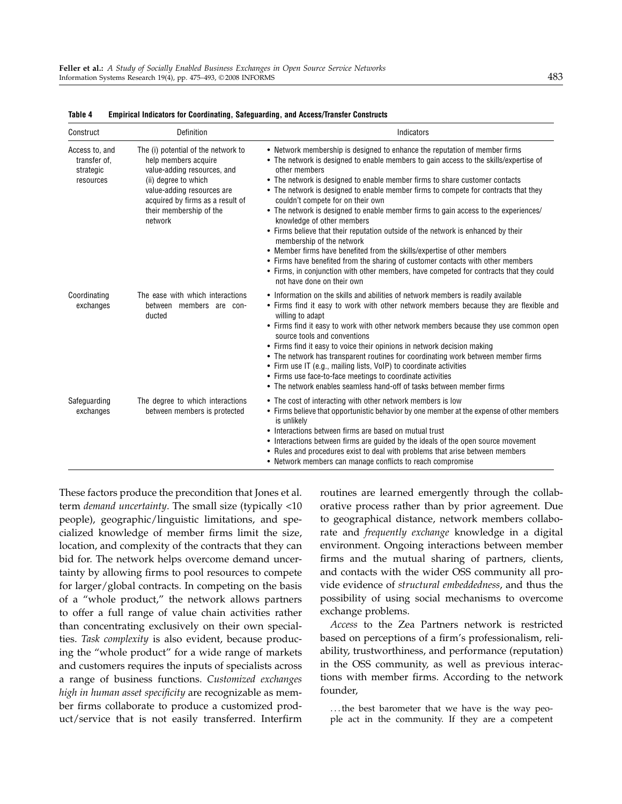| Construct                                                | Definition                                                                                                                                                                                                                 | Indicators                                                                                                                                                                                                                                                                                                                                                                                                                                                                                                                                                                                                                                                                                                                                                                                                                                                                                                                     |
|----------------------------------------------------------|----------------------------------------------------------------------------------------------------------------------------------------------------------------------------------------------------------------------------|--------------------------------------------------------------------------------------------------------------------------------------------------------------------------------------------------------------------------------------------------------------------------------------------------------------------------------------------------------------------------------------------------------------------------------------------------------------------------------------------------------------------------------------------------------------------------------------------------------------------------------------------------------------------------------------------------------------------------------------------------------------------------------------------------------------------------------------------------------------------------------------------------------------------------------|
| Access to, and<br>transfer of.<br>strategic<br>resources | The (i) potential of the network to<br>help members acquire<br>value-adding resources, and<br>(ii) degree to which<br>value-adding resources are<br>acquired by firms as a result of<br>their membership of the<br>network | • Network membership is designed to enhance the reputation of member firms<br>• The network is designed to enable members to gain access to the skills/expertise of<br>other members<br>• The network is designed to enable member firms to share customer contacts<br>• The network is designed to enable member firms to compete for contracts that they<br>couldn't compete for on their own<br>• The network is designed to enable member firms to gain access to the experiences/<br>knowledge of other members<br>• Firms believe that their reputation outside of the network is enhanced by their<br>membership of the network<br>• Member firms have benefited from the skills/expertise of other members<br>• Firms have benefited from the sharing of customer contacts with other members<br>• Firms, in conjunction with other members, have competed for contracts that they could<br>not have done on their own |
| Coordinating<br>exchanges                                | The ease with which interactions<br>between members are con-<br>ducted                                                                                                                                                     | • Information on the skills and abilities of network members is readily available<br>• Firms find it easy to work with other network members because they are flexible and<br>willing to adapt<br>• Firms find it easy to work with other network members because they use common open<br>source tools and conventions<br>• Firms find it easy to voice their opinions in network decision making<br>• The network has transparent routines for coordinating work between member firms<br>• Firm use IT (e.g., mailing lists, VoIP) to coordinate activities<br>• Firms use face-to-face meetings to coordinate activities<br>• The network enables seamless hand-off of tasks between member firms                                                                                                                                                                                                                            |
| Safeguarding<br>exchanges                                | The degree to which interactions<br>between members is protected                                                                                                                                                           | • The cost of interacting with other network members is low<br>• Firms believe that opportunistic behavior by one member at the expense of other members<br>is unlikely<br>• Interactions between firms are based on mutual trust<br>• Interactions between firms are guided by the ideals of the open source movement<br>• Rules and procedures exist to deal with problems that arise between members<br>• Network members can manage conflicts to reach compromise                                                                                                                                                                                                                                                                                                                                                                                                                                                          |

Table 4 Empirical Indicators for Coordinating, Safeguarding, and Access/Transfer Constructs

These factors produce the precondition that Jones et al. term demand uncertainty. The small size (typically <10 people), geographic/linguistic limitations, and specialized knowledge of member firms limit the size, location, and complexity of the contracts that they can bid for. The network helps overcome demand uncertainty by allowing firms to pool resources to compete for larger/global contracts. In competing on the basis of a "whole product," the network allows partners to offer a full range of value chain activities rather than concentrating exclusively on their own specialties. Task complexity is also evident, because producing the "whole product" for a wide range of markets and customers requires the inputs of specialists across a range of business functions. Customized exchanges high in human asset specificity are recognizable as member firms collaborate to produce a customized product/service that is not easily transferred. Interfirm

routines are learned emergently through the collaborative process rather than by prior agreement. Due to geographical distance, network members collaborate and frequently exchange knowledge in a digital environment. Ongoing interactions between member firms and the mutual sharing of partners, clients, and contacts with the wider OSS community all provide evidence of structural embeddedness, and thus the possibility of using social mechanisms to overcome exchange problems.

Access to the Zea Partners network is restricted based on perceptions of a firm's professionalism, reliability, trustworthiness, and performance (reputation) in the OSS community, as well as previous interactions with member firms. According to the network founder,

...the best barometer that we have is the way people act in the community. If they are a competent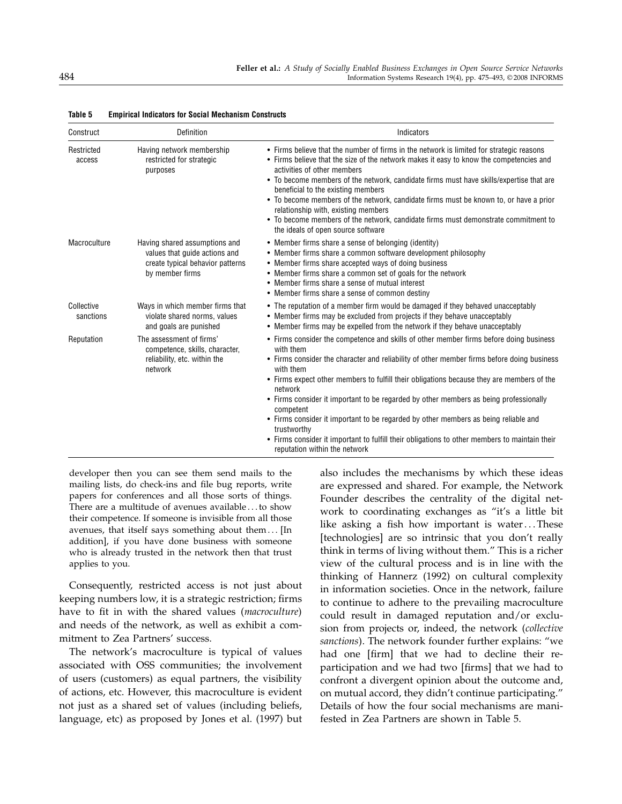| Construct               | Definition                                                                                                            | Indicators                                                                                                                                                                                                                                                                                                                                                                                                                                                                                                                                                                                                                                                           |
|-------------------------|-----------------------------------------------------------------------------------------------------------------------|----------------------------------------------------------------------------------------------------------------------------------------------------------------------------------------------------------------------------------------------------------------------------------------------------------------------------------------------------------------------------------------------------------------------------------------------------------------------------------------------------------------------------------------------------------------------------------------------------------------------------------------------------------------------|
| Restricted<br>access    | Having network membership<br>restricted for strategic<br>purposes                                                     | • Firms believe that the number of firms in the network is limited for strategic reasons<br>• Firms believe that the size of the network makes it easy to know the competencies and<br>activities of other members<br>• To become members of the network, candidate firms must have skills/expertise that are<br>beneficial to the existing members<br>• To become members of the network, candidate firms must be known to, or have a prior<br>relationship with, existing members<br>• To become members of the network, candidate firms must demonstrate commitment to<br>the ideals of open source software                                                      |
| Macroculture            | Having shared assumptions and<br>values that quide actions and<br>create typical behavior patterns<br>by member firms | • Member firms share a sense of belonging (identity)<br>• Member firms share a common software development philosophy<br>• Member firms share accepted ways of doing business<br>• Member firms share a common set of goals for the network<br>• Member firms share a sense of mutual interest<br>• Member firms share a sense of common destiny                                                                                                                                                                                                                                                                                                                     |
| Collective<br>sanctions | Ways in which member firms that<br>violate shared norms, values<br>and goals are punished                             | • The reputation of a member firm would be damaged if they behaved unacceptably<br>• Member firms may be excluded from projects if they behave unacceptably<br>• Member firms may be expelled from the network if they behave unacceptably                                                                                                                                                                                                                                                                                                                                                                                                                           |
| Reputation              | The assessment of firms'<br>competence, skills, character,<br>reliability, etc. within the<br>network                 | • Firms consider the competence and skills of other member firms before doing business<br>with them<br>• Firms consider the character and reliability of other member firms before doing business<br>with them<br>• Firms expect other members to fulfill their obligations because they are members of the<br>network<br>• Firms consider it important to be regarded by other members as being professionally<br>competent<br>• Firms consider it important to be regarded by other members as being reliable and<br>trustworthy<br>• Firms consider it important to fulfill their obligations to other members to maintain their<br>reputation within the network |

#### Table 5 Empirical Indicators for Social Mechanism Constructs

developer then you can see them send mails to the mailing lists, do check-ins and file bug reports, write papers for conferences and all those sorts of things. There are a multitude of avenues available  $\dots$  to show their competence. If someone is invisible from all those avenues, that itself says something about them ... [In addition], if you have done business with someone who is already trusted in the network then that trust applies to you.

Consequently, restricted access is not just about keeping numbers low, it is a strategic restriction; firms have to fit in with the shared values (macroculture) and needs of the network, as well as exhibit a commitment to Zea Partners' success.

The network's macroculture is typical of values associated with OSS communities; the involvement of users (customers) as equal partners, the visibility of actions, etc. However, this macroculture is evident not just as a shared set of values (including beliefs, language, etc) as proposed by Jones et al. (1997) but

also includes the mechanisms by which these ideas are expressed and shared. For example, the Network Founder describes the centrality of the digital network to coordinating exchanges as "it's a little bit like asking a fish how important is water...These [technologies] are so intrinsic that you don't really think in terms of living without them." This is a richer view of the cultural process and is in line with the thinking of Hannerz (1992) on cultural complexity in information societies. Once in the network, failure to continue to adhere to the prevailing macroculture could result in damaged reputation and/or exclusion from projects or, indeed, the network (collective sanctions). The network founder further explains: "we had one [firm] that we had to decline their reparticipation and we had two [firms] that we had to confront a divergent opinion about the outcome and, on mutual accord, they didn't continue participating." Details of how the four social mechanisms are manifested in Zea Partners are shown in Table 5.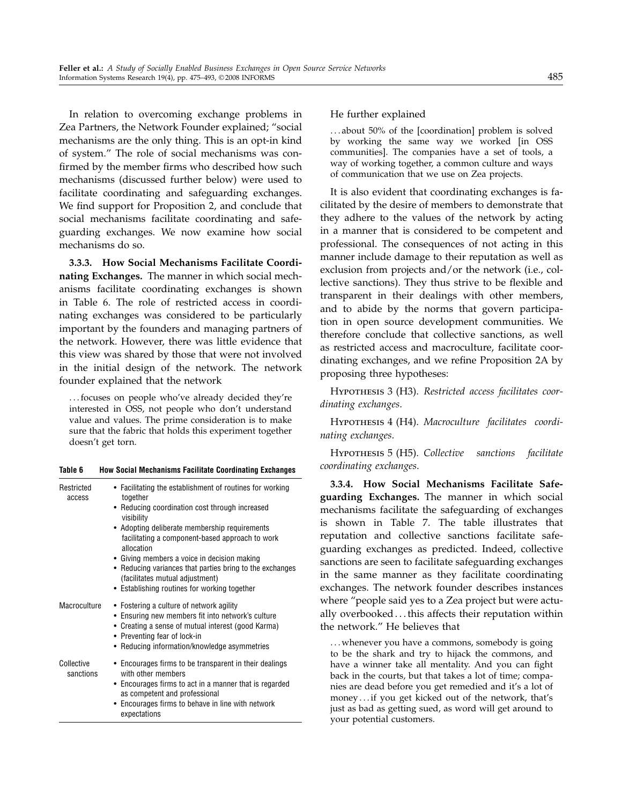In relation to overcoming exchange problems in Zea Partners, the Network Founder explained; "social mechanisms are the only thing. This is an opt-in kind of system." The role of social mechanisms was confirmed by the member firms who described how such mechanisms (discussed further below) were used to facilitate coordinating and safeguarding exchanges. We find support for Proposition 2, and conclude that social mechanisms facilitate coordinating and safeguarding exchanges. We now examine how social mechanisms do so.

3.3.3. How Social Mechanisms Facilitate Coordinating Exchanges. The manner in which social mechanisms facilitate coordinating exchanges is shown in Table 6. The role of restricted access in coordinating exchanges was considered to be particularly important by the founders and managing partners of the network. However, there was little evidence that this view was shared by those that were not involved in the initial design of the network. The network founder explained that the network

... focuses on people who've already decided they're interested in OSS, not people who don't understand value and values. The prime consideration is to make sure that the fabric that holds this experiment together doesn't get torn.

| Table 6 | <b>How Social Mechanisms Facilitate Coordinating Exchanges</b> |  |  |
|---------|----------------------------------------------------------------|--|--|
|---------|----------------------------------------------------------------|--|--|

| Restricted<br>access    | • Facilitating the establishment of routines for working<br>together<br>• Reducing coordination cost through increased<br>visibility<br>• Adopting deliberate membership requirements<br>facilitating a component-based approach to work<br>allocation<br>• Giving members a voice in decision making<br>• Reducing variances that parties bring to the exchanges<br>(facilitates mutual adjustment)<br>• Establishing routines for working together |
|-------------------------|------------------------------------------------------------------------------------------------------------------------------------------------------------------------------------------------------------------------------------------------------------------------------------------------------------------------------------------------------------------------------------------------------------------------------------------------------|
| Macroculture            | • Fostering a culture of network agility<br>• Ensuring new members fit into network's culture<br>• Creating a sense of mutual interest (good Karma)<br>• Preventing fear of lock-in<br>• Reducing information/knowledge asymmetries                                                                                                                                                                                                                  |
| Collective<br>sanctions | • Encourages firms to be transparent in their dealings<br>with other members<br>• Encourages firms to act in a manner that is regarded<br>as competent and professional<br>• Encourages firms to behave in line with network<br>expectations                                                                                                                                                                                                         |

### He further explained

...about 50% of the [coordination] problem is solved by working the same way we worked [in OSS] communities]. The companies have a set of tools, a way of working together, a common culture and ways of communication that we use on Zea projects.

It is also evident that coordinating exchanges is facilitated by the desire of members to demonstrate that they adhere to the values of the network by acting in a manner that is considered to be competent and professional. The consequences of not acting in this manner include damage to their reputation as well as exclusion from projects and/or the network (i.e., collective sanctions). They thus strive to be flexible and transparent in their dealings with other members, and to abide by the norms that govern participation in open source development communities. We therefore conclude that collective sanctions, as well as restricted access and macroculture, facilitate coordinating exchanges, and we refine Proposition 2A by proposing three hypotheses:

Hypothesis 3 (H3). Restricted access facilitates coordinating exchanges.

Hypothesis 4 (H4). Macroculture facilitates coordinating exchanges.

Hypothesis 5 (H5). Collective sanctions facilitate coordinating exchanges.

3.3.4. How Social Mechanisms Facilitate Safeguarding Exchanges. The manner in which social mechanisms facilitate the safeguarding of exchanges is shown in Table 7. The table illustrates that reputation and collective sanctions facilitate safeguarding exchanges as predicted. Indeed, collective sanctions are seen to facilitate safeguarding exchanges in the same manner as they facilitate coordinating exchanges. The network founder describes instances where "people said yes to a Zea project but were actually overbooked ... this affects their reputation within the network." He believes that

... whenever you have a commons, somebody is going to be the shark and try to hijack the commons, and have a winner take all mentality. And you can fight back in the courts, but that takes a lot of time; companies are dead before you get remedied and it's a lot of money...if you get kicked out of the network, that's just as bad as getting sued, as word will get around to your potential customers.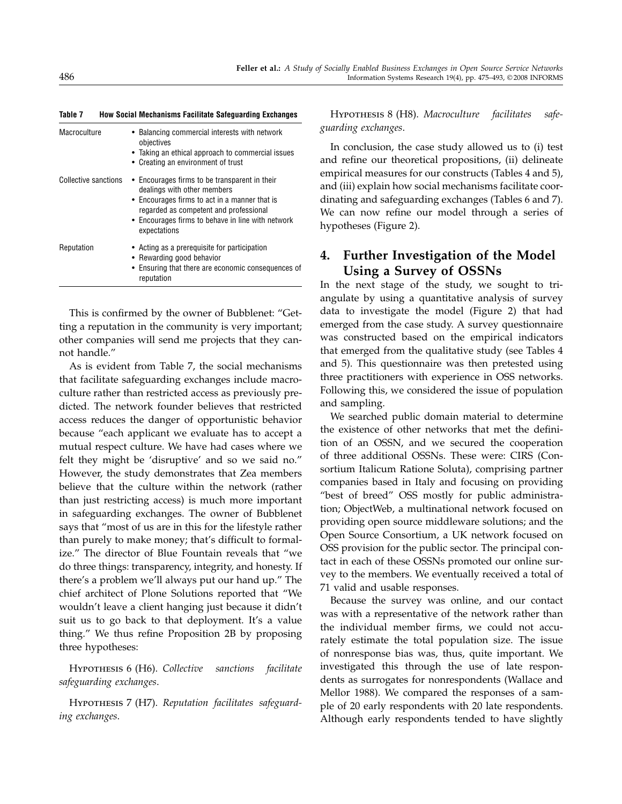| Macroculture         | • Balancing commercial interests with network<br>obiectives<br>• Taking an ethical approach to commercial issues<br>• Creating an environment of trust                                                                                       |
|----------------------|----------------------------------------------------------------------------------------------------------------------------------------------------------------------------------------------------------------------------------------------|
| Collective sanctions | • Encourages firms to be transparent in their<br>dealings with other members<br>• Encourages firms to act in a manner that is<br>regarded as competent and professional<br>• Encourages firms to behave in line with network<br>expectations |
| Reputation           | • Acting as a prerequisite for participation<br>• Rewarding good behavior<br>• Ensuring that there are economic consequences of<br>reputation                                                                                                |

Table 7 How Social Mechanisms Facilitate Safeguarding Exchanges

This is confirmed by the owner of Bubblenet: "Getting a reputation in the community is very important; other companies will send me projects that they cannot handle."

As is evident from Table 7, the social mechanisms that facilitate safeguarding exchanges include macroculture rather than restricted access as previously predicted. The network founder believes that restricted access reduces the danger of opportunistic behavior because "each applicant we evaluate has to accept a mutual respect culture. We have had cases where we felt they might be 'disruptive' and so we said no." However, the study demonstrates that Zea members believe that the culture within the network (rather than just restricting access) is much more important in safeguarding exchanges. The owner of Bubblenet says that "most of us are in this for the lifestyle rather than purely to make money; that's difficult to formalize." The director of Blue Fountain reveals that "we do three things: transparency, integrity, and honesty. If there's a problem we'll always put our hand up." The chief architect of Plone Solutions reported that "We wouldn't leave a client hanging just because it didn't suit us to go back to that deployment. It's a value thing." We thus refine Proposition 2B by proposing three hypotheses:

HYPOTHESIS 6 (H6). Collective sanctions facilitate safeguarding exchanges.

HYPOTHESIS 7 (H7). Reputation facilitates safeguarding exchanges.

HYPOTHESIS 8 (H8). Macroculture facilitates safeguarding exchanges.

In conclusion, the case study allowed us to (i) test and refine our theoretical propositions, (ii) delineate empirical measures for our constructs (Tables 4 and 5), and (iii) explain how social mechanisms facilitate coordinating and safeguarding exchanges (Tables 6 and 7). We can now refine our model through a series of hypotheses (Figure 2).

# 4. Further Investigation of the Model Using a Survey of OSSNs

In the next stage of the study, we sought to triangulate by using a quantitative analysis of survey data to investigate the model (Figure 2) that had emerged from the case study. A survey questionnaire was constructed based on the empirical indicators that emerged from the qualitative study (see Tables 4 and 5). This questionnaire was then pretested using three practitioners with experience in OSS networks. Following this, we considered the issue of population and sampling.

We searched public domain material to determine the existence of other networks that met the definition of an OSSN, and we secured the cooperation of three additional OSSNs. These were: CIRS (Consortium Italicum Ratione Soluta), comprising partner companies based in Italy and focusing on providing "best of breed" OSS mostly for public administration; ObjectWeb, a multinational network focused on providing open source middleware solutions; and the Open Source Consortium, a UK network focused on OSS provision for the public sector. The principal contact in each of these OSSNs promoted our online survey to the members. We eventually received a total of 71 valid and usable responses.

Because the survey was online, and our contact was with a representative of the network rather than the individual member firms, we could not accurately estimate the total population size. The issue of nonresponse bias was, thus, quite important. We investigated this through the use of late respondents as surrogates for nonrespondents (Wallace and Mellor 1988). We compared the responses of a sample of 20 early respondents with 20 late respondents. Although early respondents tended to have slightly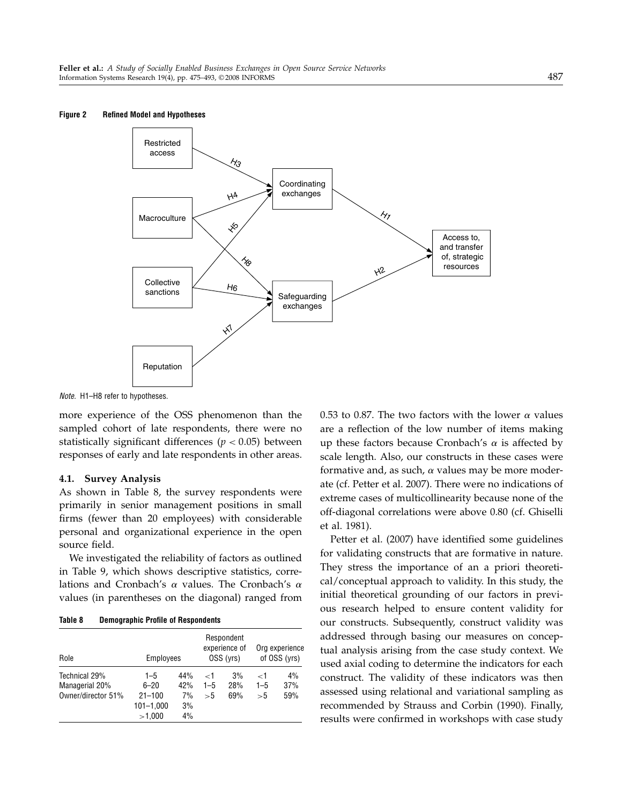#### Figure 2 Refined Model and Hypotheses



Note. H1–H8 refer to hypotheses.

more experience of the OSS phenomenon than the sampled cohort of late respondents, there were no statistically significant differences ( $p < 0.05$ ) between responses of early and late respondents in other areas.

### 4.1. Survey Analysis

As shown in Table 8, the survey respondents were primarily in senior management positions in small firms (fewer than 20 employees) with considerable personal and organizational experience in the open source field.

We investigated the reliability of factors as outlined in Table 9, which shows descriptive statistics, correlations and Cronbach's  $\alpha$  values. The Cronbach's  $\alpha$ values (in parentheses on the diagonal) ranged from

Table 8 Demographic Profile of Respondents

| Role               | Employees     |     |         | Respondent<br>experience of<br>OSS (yrs) | Org experience<br>of OSS (yrs) |     |
|--------------------|---------------|-----|---------|------------------------------------------|--------------------------------|-----|
| Technical 29%      | $1 - 5$       | 44% | ا -     | 3%                                       | ا ~                            | 4%  |
| Managerial 20%     | $6 - 20$      | 42% | $1 - 5$ | 28%                                      | $1 - 5$                        | 37% |
| Owner/director 51% | $21 - 100$    | 7%  | > 5     | 69%                                      | >5                             | 59% |
|                    | $101 - 1.000$ | 3%  |         |                                          |                                |     |
|                    | >1.000        | 4%  |         |                                          |                                |     |

0.53 to 0.87. The two factors with the lower  $\alpha$  values are a reflection of the low number of items making up these factors because Cronbach's  $\alpha$  is affected by scale length. Also, our constructs in these cases were formative and, as such,  $\alpha$  values may be more moderate (cf. Petter et al. 2007). There were no indications of extreme cases of multicollinearity because none of the off-diagonal correlations were above 0.80 (cf. Ghiselli et al. 1981).

Petter et al. (2007) have identified some guidelines for validating constructs that are formative in nature. They stress the importance of an a priori theoretical/conceptual approach to validity. In this study, the initial theoretical grounding of our factors in previous research helped to ensure content validity for our constructs. Subsequently, construct validity was addressed through basing our measures on conceptual analysis arising from the case study context. We used axial coding to determine the indicators for each construct. The validity of these indicators was then assessed using relational and variational sampling as recommended by Strauss and Corbin (1990). Finally, results were confirmed in workshops with case study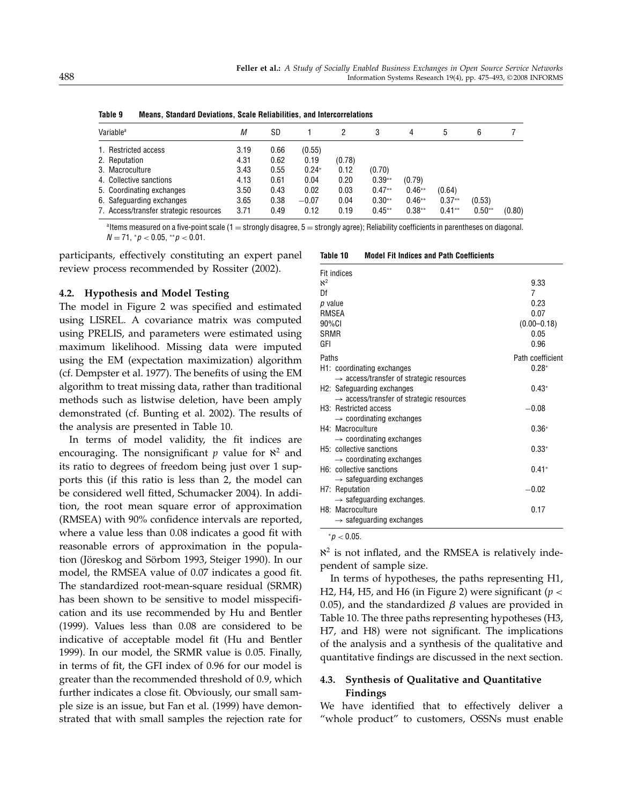Table 9 Means, Standard Deviations, Scale Reliabilities, and Intercorrelations

| Variable <sup>a</sup>                  | М    | SD   |         |        |          | 4        | 5        | 6        |        |
|----------------------------------------|------|------|---------|--------|----------|----------|----------|----------|--------|
| 1. Restricted access                   | 3.19 | 0.66 | (0.55)  |        |          |          |          |          |        |
| 2. Reputation                          | 4.31 | 0.62 | 0.19    | (0.78) |          |          |          |          |        |
| 3. Macroculture                        | 3.43 | 0.55 | $0.24*$ | 0.12   | (0.70)   |          |          |          |        |
| 4. Collective sanctions                | 4.13 | 0.61 | 0.04    | 0.20   | $0.39**$ | (0.79)   |          |          |        |
| 5. Coordinating exchanges              | 3.50 | 0.43 | 0.02    | 0.03   | $0.47**$ | $0.46**$ | (0.64)   |          |        |
| 6. Safeguarding exchanges              | 3.65 | 0.38 | $-0.07$ | 0.04   | $0.30**$ | $0.46**$ | $0.37**$ | (0.53)   |        |
| 7. Access/transfer strategic resources | 3.71 | 0.49 | 0.12    | 0.19   | $0.45**$ | $0.38**$ | $0.41**$ | $0.50**$ | (0.80) |

 $^{\rm a}$ ltems measured on a five-point scale (1  $=$  strongly disagree, 5  $=$  strongly agree); Reliability coefficients in parentheses on diagonal.  $N = 71, *p < 0.05, **p < 0.01$ .

participants, effectively constituting an expert panel review process recommended by Rossiter (2002).

#### 4.2. Hypothesis and Model Testing

The model in Figure 2 was specified and estimated using LISREL. A covariance matrix was computed using PRELIS, and parameters were estimated using maximum likelihood. Missing data were imputed using the EM (expectation maximization) algorithm (cf. Dempster et al. 1977). The benefits of using the EM algorithm to treat missing data, rather than traditional methods such as listwise deletion, have been amply demonstrated (cf. Bunting et al. 2002). The results of the analysis are presented in Table 10.

In terms of model validity, the fit indices are encouraging. The nonsignificant  $p$  value for  $\aleph^2$  and its ratio to degrees of freedom being just over 1 supports this (if this ratio is less than 2, the model can be considered well fitted, Schumacker 2004). In addition, the root mean square error of approximation (RMSEA) with 90% confidence intervals are reported, where a value less than 0.08 indicates a good fit with reasonable errors of approximation in the population (Jöreskog and Sörbom 1993, Steiger 1990). In our model, the RMSEA value of 0.07 indicates a good fit. The standardized root-mean-square residual (SRMR) has been shown to be sensitive to model misspecification and its use recommended by Hu and Bentler (1999). Values less than 0.08 are considered to be indicative of acceptable model fit (Hu and Bentler 1999). In our model, the SRMR value is 0.05. Finally, in terms of fit, the GFI index of 0.96 for our model is greater than the recommended threshold of 0.9, which further indicates a close fit. Obviously, our small sample size is an issue, but Fan et al. (1999) have demonstrated that with small samples the rejection rate for

Table 10 Model Fit Indices and Path Coefficients

| Fit indices                                          |                  |
|------------------------------------------------------|------------------|
| $\aleph^2$                                           | 9.33             |
| Df                                                   | 7                |
| p value                                              | 0.23             |
| RMSEA                                                | 0.07             |
| 90%CI                                                | $(0.00 - 0.18)$  |
| <b>SRMR</b>                                          | 0.05             |
| GFI                                                  | 0.96             |
| Paths                                                | Path coefficient |
| H1: coordinating exchanges                           | $0.28*$          |
| $\rightarrow$ access/transfer of strategic resources |                  |
| H2: Safeguarding exchanges                           | $0.43*$          |
| $\rightarrow$ access/transfer of strategic resources |                  |
| H <sub>3</sub> : Restricted access                   | $-0.08$          |
| $\rightarrow$ coordinating exchanges                 |                  |
| H4: Macroculture                                     | $0.36*$          |
| $\rightarrow$ coordinating exchanges                 |                  |
| H <sub>5</sub> : collective sanctions                | $0.33*$          |
| $\rightarrow$ coordinating exchanges                 |                  |
| H6: collective sanctions                             | $0.41*$          |
| $\rightarrow$ safeguarding exchanges                 |                  |
| H7: Reputation                                       | $-0.02$          |
| $\rightarrow$ safeguarding exchanges.                |                  |
| H8: Macroculture                                     | 0.17             |
| $\rightarrow$ safeguarding exchanges                 |                  |

#### $* p < 0.05$ .

 $\aleph^2$  is not inflated, and the RMSEA is relatively independent of sample size.

In terms of hypotheses, the paths representing H1, H2, H4, H5, and H6 (in Figure 2) were significant ( $p <$ 0.05), and the standardized  $\beta$  values are provided in Table 10. The three paths representing hypotheses (H3, H7, and H8) were not significant. The implications of the analysis and a synthesis of the qualitative and quantitative findings are discussed in the next section.

# 4.3. Synthesis of Qualitative and Quantitative Findings

We have identified that to effectively deliver a "whole product" to customers, OSSNs must enable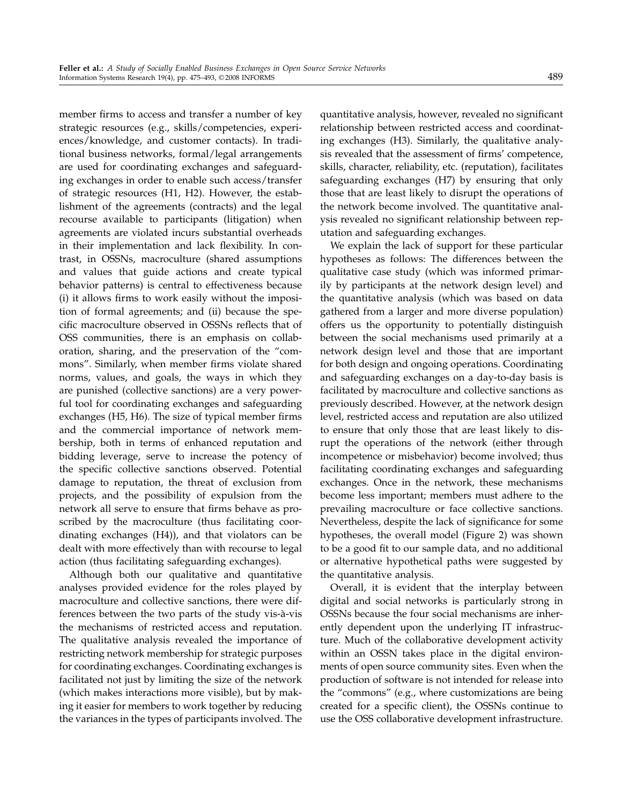member firms to access and transfer a number of key strategic resources (e.g., skills/competencies, experiences/knowledge, and customer contacts). In traditional business networks, formal/legal arrangements are used for coordinating exchanges and safeguarding exchanges in order to enable such access/transfer of strategic resources (H1, H2). However, the establishment of the agreements (contracts) and the legal recourse available to participants (litigation) when agreements are violated incurs substantial overheads in their implementation and lack flexibility. In contrast, in OSSNs, macroculture (shared assumptions and values that guide actions and create typical behavior patterns) is central to effectiveness because (i) it allows firms to work easily without the imposition of formal agreements; and (ii) because the specific macroculture observed in OSSNs reflects that of OSS communities, there is an emphasis on collaboration, sharing, and the preservation of the "commons". Similarly, when member firms violate shared norms, values, and goals, the ways in which they are punished (collective sanctions) are a very powerful tool for coordinating exchanges and safeguarding exchanges (H5, H6). The size of typical member firms and the commercial importance of network membership, both in terms of enhanced reputation and bidding leverage, serve to increase the potency of the specific collective sanctions observed. Potential damage to reputation, the threat of exclusion from projects, and the possibility of expulsion from the network all serve to ensure that firms behave as proscribed by the macroculture (thus facilitating coordinating exchanges (H4)), and that violators can be dealt with more effectively than with recourse to legal action (thus facilitating safeguarding exchanges).

Although both our qualitative and quantitative analyses provided evidence for the roles played by macroculture and collective sanctions, there were differences between the two parts of the study vis-à-vis the mechanisms of restricted access and reputation. The qualitative analysis revealed the importance of restricting network membership for strategic purposes for coordinating exchanges. Coordinating exchanges is facilitated not just by limiting the size of the network (which makes interactions more visible), but by making it easier for members to work together by reducing the variances in the types of participants involved. The

quantitative analysis, however, revealed no significant relationship between restricted access and coordinating exchanges (H3). Similarly, the qualitative analysis revealed that the assessment of firms' competence, skills, character, reliability, etc. (reputation), facilitates safeguarding exchanges (H7) by ensuring that only those that are least likely to disrupt the operations of the network become involved. The quantitative analysis revealed no significant relationship between reputation and safeguarding exchanges.

We explain the lack of support for these particular hypotheses as follows: The differences between the qualitative case study (which was informed primarily by participants at the network design level) and the quantitative analysis (which was based on data gathered from a larger and more diverse population) offers us the opportunity to potentially distinguish between the social mechanisms used primarily at a network design level and those that are important for both design and ongoing operations. Coordinating and safeguarding exchanges on a day-to-day basis is facilitated by macroculture and collective sanctions as previously described. However, at the network design level, restricted access and reputation are also utilized to ensure that only those that are least likely to disrupt the operations of the network (either through incompetence or misbehavior) become involved; thus facilitating coordinating exchanges and safeguarding exchanges. Once in the network, these mechanisms become less important; members must adhere to the prevailing macroculture or face collective sanctions. Nevertheless, despite the lack of significance for some hypotheses, the overall model (Figure 2) was shown to be a good fit to our sample data, and no additional or alternative hypothetical paths were suggested by the quantitative analysis.

Overall, it is evident that the interplay between digital and social networks is particularly strong in OSSNs because the four social mechanisms are inherently dependent upon the underlying IT infrastructure. Much of the collaborative development activity within an OSSN takes place in the digital environments of open source community sites. Even when the production of software is not intended for release into the "commons" (e.g., where customizations are being created for a specific client), the OSSNs continue to use the OSS collaborative development infrastructure.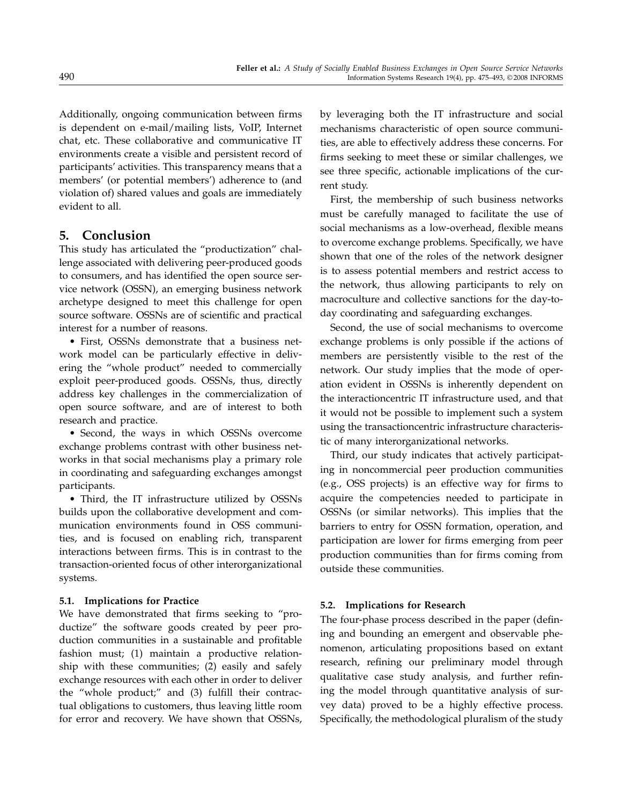Additionally, ongoing communication between firms is dependent on e-mail/mailing lists, VoIP, Internet chat, etc. These collaborative and communicative IT environments create a visible and persistent record of participants' activities. This transparency means that a members' (or potential members') adherence to (and violation of) shared values and goals are immediately evident to all.

# 5. Conclusion

This study has articulated the "productization" challenge associated with delivering peer-produced goods to consumers, and has identified the open source service network (OSSN), an emerging business network archetype designed to meet this challenge for open source software. OSSNs are of scientific and practical interest for a number of reasons.

• First, OSSNs demonstrate that a business network model can be particularly effective in delivering the "whole product" needed to commercially exploit peer-produced goods. OSSNs, thus, directly address key challenges in the commercialization of open source software, and are of interest to both research and practice.

• Second, the ways in which OSSNs overcome exchange problems contrast with other business networks in that social mechanisms play a primary role in coordinating and safeguarding exchanges amongst participants.

• Third, the IT infrastructure utilized by OSSNs builds upon the collaborative development and communication environments found in OSS communities, and is focused on enabling rich, transparent interactions between firms. This is in contrast to the transaction-oriented focus of other interorganizational systems.

# 5.1. Implications for Practice

We have demonstrated that firms seeking to "productize" the software goods created by peer production communities in a sustainable and profitable fashion must; (1) maintain a productive relationship with these communities; (2) easily and safely exchange resources with each other in order to deliver the "whole product;" and (3) fulfill their contractual obligations to customers, thus leaving little room for error and recovery. We have shown that OSSNs,

by leveraging both the IT infrastructure and social mechanisms characteristic of open source communities, are able to effectively address these concerns. For firms seeking to meet these or similar challenges, we see three specific, actionable implications of the current study.

First, the membership of such business networks must be carefully managed to facilitate the use of social mechanisms as a low-overhead, flexible means to overcome exchange problems. Specifically, we have shown that one of the roles of the network designer is to assess potential members and restrict access to the network, thus allowing participants to rely on macroculture and collective sanctions for the day-today coordinating and safeguarding exchanges.

Second, the use of social mechanisms to overcome exchange problems is only possible if the actions of members are persistently visible to the rest of the network. Our study implies that the mode of operation evident in OSSNs is inherently dependent on the interactioncentric IT infrastructure used, and that it would not be possible to implement such a system using the transactioncentric infrastructure characteristic of many interorganizational networks.

Third, our study indicates that actively participating in noncommercial peer production communities (e.g., OSS projects) is an effective way for firms to acquire the competencies needed to participate in OSSNs (or similar networks). This implies that the barriers to entry for OSSN formation, operation, and participation are lower for firms emerging from peer production communities than for firms coming from outside these communities.

# 5.2. Implications for Research

The four-phase process described in the paper (defining and bounding an emergent and observable phenomenon, articulating propositions based on extant research, refining our preliminary model through qualitative case study analysis, and further refining the model through quantitative analysis of survey data) proved to be a highly effective process. Specifically, the methodological pluralism of the study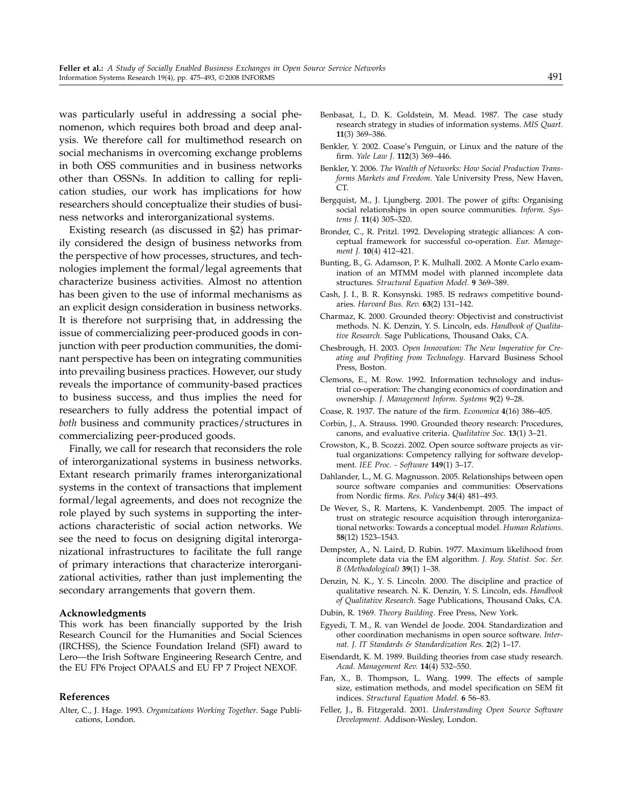was particularly useful in addressing a social phenomenon, which requires both broad and deep analysis. We therefore call for multimethod research on social mechanisms in overcoming exchange problems in both OSS communities and in business networks other than OSSNs. In addition to calling for replication studies, our work has implications for how researchers should conceptualize their studies of business networks and interorganizational systems.

Existing research (as discussed in §2) has primarily considered the design of business networks from the perspective of how processes, structures, and technologies implement the formal/legal agreements that characterize business activities. Almost no attention has been given to the use of informal mechanisms as an explicit design consideration in business networks. It is therefore not surprising that, in addressing the issue of commercializing peer-produced goods in conjunction with peer production communities, the dominant perspective has been on integrating communities into prevailing business practices. However, our study reveals the importance of community-based practices to business success, and thus implies the need for researchers to fully address the potential impact of both business and community practices/structures in commercializing peer-produced goods.

Finally, we call for research that reconsiders the role of interorganizational systems in business networks. Extant research primarily frames interorganizational systems in the context of transactions that implement formal/legal agreements, and does not recognize the role played by such systems in supporting the interactions characteristic of social action networks. We see the need to focus on designing digital interorganizational infrastructures to facilitate the full range of primary interactions that characterize interorganizational activities, rather than just implementing the secondary arrangements that govern them.

# Acknowledgments

This work has been financially supported by the Irish Research Council for the Humanities and Social Sciences (IRCHSS), the Science Foundation Ireland (SFI) award to Lero—the Irish Software Engineering Research Centre, and the EU FP6 Project OPAALS and EU FP 7 Project NEXOF.

## References

Alter, C., J. Hage. 1993. Organizations Working Together. Sage Publications, London.

- Benbasat, I., D. K. Goldstein, M. Mead. 1987. The case study research strategy in studies of information systems. MIS Quart. 11(3) 369–386.
- Benkler, Y. 2002. Coase's Penguin, or Linux and the nature of the firm. Yale Law J. 112(3) 369–446.
- Benkler, Y. 2006. The Wealth of Networks: How Social Production Transforms Markets and Freedom. Yale University Press, New Haven, CT.
- Bergquist, M., J. Ljungberg. 2001. The power of gifts: Organising social relationships in open source communities. Inform. Systems J. 11(4) 305–320.
- Bronder, C., R. Pritzl. 1992. Developing strategic alliances: A conceptual framework for successful co-operation. Eur. Management J. 10(4) 412–421.
- Bunting, B., G. Adamson, P. K. Mulhall. 2002. A Monte Carlo examination of an MTMM model with planned incomplete data structures. Structural Equation Model. 9 369–389.
- Cash, J. I., B. R. Konsynski. 1985. IS redraws competitive boundaries. Harvard Bus. Rev. 63(2) 131–142.
- Charmaz, K. 2000. Grounded theory: Objectivist and constructivist methods. N. K. Denzin, Y. S. Lincoln, eds. Handbook of Qualitative Research. Sage Publications, Thousand Oaks, CA.
- Chesbrough, H. 2003. Open Innovation: The New Imperative for Creating and Profiting from Technology. Harvard Business School Press, Boston.
- Clemons, E., M. Row. 1992. Information technology and industrial co-operation: The changing economics of coordination and ownership. J. Management Inform. Systems 9(2) 9–28.
- Coase, R. 1937. The nature of the firm. Economica 4(16) 386–405.
- Corbin, J., A. Strauss. 1990. Grounded theory research: Procedures, canons, and evaluative criteria. Qualitative Soc. 13(1) 3–21.
- Crowston, K., B. Scozzi. 2002. Open source software projects as virtual organizations: Competency rallying for software development. IEE Proc. - Software 149(1) 3-17.
- Dahlander, L., M. G. Magnusson. 2005. Relationships between open source software companies and communities: Observations from Nordic firms. Res. Policy 34(4) 481–493.
- De Wever, S., R. Martens, K. Vandenbempt. 2005. The impact of trust on strategic resource acquisition through interorganizational networks: Towards a conceptual model. Human Relations. 58(12) 1523–1543.
- Dempster, A., N. Laird, D. Rubin. 1977. Maximum likelihood from incomplete data via the EM algorithm. J. Roy. Statist. Soc. Ser. B (Methodological) 39(1) 1–38.
- Denzin, N. K., Y. S. Lincoln. 2000. The discipline and practice of qualitative research. N. K. Denzin, Y. S. Lincoln, eds. Handbook of Qualitative Research. Sage Publications, Thousand Oaks, CA.
- Dubin, R. 1969. Theory Building. Free Press, New York.
- Egyedi, T. M., R. van Wendel de Joode. 2004. Standardization and other coordination mechanisms in open source software. Internat. J. IT Standards & Standardization Res.  $2(2)$  1–17.
- Eisendardt, K. M. 1989. Building theories from case study research. Acad. Management Rev. 14(4) 532–550.
- Fan, X., B. Thompson, L. Wang. 1999. The effects of sample size, estimation methods, and model specification on SEM fit indices. Structural Equation Model. 6 56–83.
- Feller, J., B. Fitzgerald. 2001. Understanding Open Source Software Development. Addison-Wesley, London.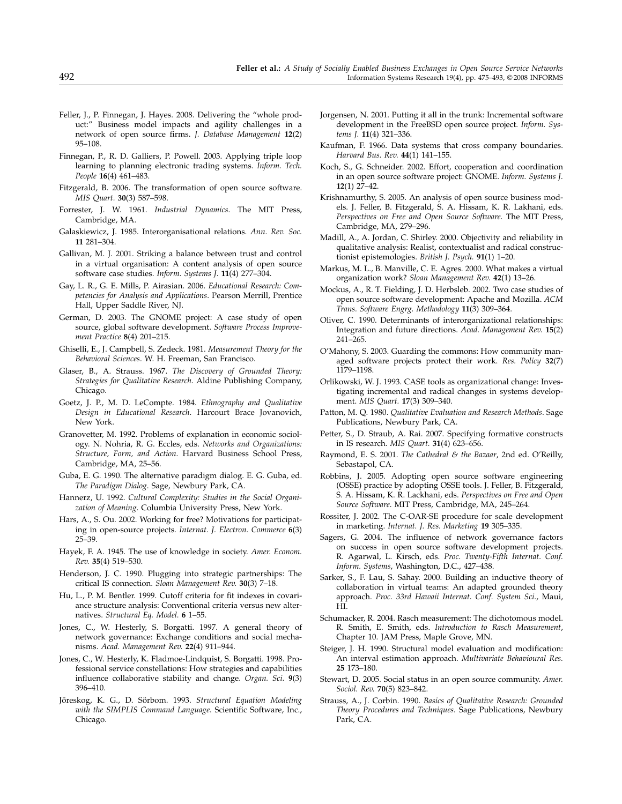- Feller, J., P. Finnegan, J. Hayes. 2008. Delivering the "whole product:" Business model impacts and agility challenges in a network of open source firms. J. Database Management 12(2) 95–108.
- Finnegan, P., R. D. Galliers, P. Powell. 2003. Applying triple loop learning to planning electronic trading systems. Inform. Tech. People 16(4) 461–483.
- Fitzgerald, B. 2006. The transformation of open source software. MIS Quart. 30(3) 587–598.
- Forrester, J. W. 1961. Industrial Dynamics. The MIT Press, Cambridge, MA.
- Galaskiewicz, J. 1985. Interorganisational relations. Ann. Rev. Soc. 11 281–304.
- Gallivan, M. J. 2001. Striking a balance between trust and control in a virtual organisation: A content analysis of open source software case studies. Inform. Systems J. 11(4) 277–304.
- Gay, L. R., G. E. Mills, P. Airasian. 2006. Educational Research: Competencies for Analysis and Applications. Pearson Merrill, Prentice Hall, Upper Saddle River, NJ.
- German, D. 2003. The GNOME project: A case study of open source, global software development. Software Process Improvement Practice 8(4) 201–215.
- Ghiselli, E., J. Campbell, S. Zedeck. 1981. Measurement Theory for the Behavioral Sciences. W. H. Freeman, San Francisco.
- Glaser, B., A. Strauss. 1967. The Discovery of Grounded Theory: Strategies for Qualitative Research. Aldine Publishing Company, Chicago.
- Goetz, J. P., M. D. LeCompte. 1984. Ethnography and Qualitative Design in Educational Research. Harcourt Brace Jovanovich, New York.
- Granovetter, M. 1992. Problems of explanation in economic sociology. N. Nohria, R. G. Eccles, eds. Networks and Organizations: Structure, Form, and Action. Harvard Business School Press, Cambridge, MA, 25–56.
- Guba, E. G. 1990. The alternative paradigm dialog. E. G. Guba, ed. The Paradigm Dialog. Sage, Newbury Park, CA.
- Hannerz, U. 1992. Cultural Complexity: Studies in the Social Organization of Meaning. Columbia University Press, New York.
- Hars, A., S. Ou. 2002. Working for free? Motivations for participating in open-source projects. Internat. J. Electron. Commerce 6(3) 25–39.
- Hayek, F. A. 1945. The use of knowledge in society. Amer. Econom. Rev. 35(4) 519–530.
- Henderson, J. C. 1990. Plugging into strategic partnerships: The critical IS connection. Sloan Management Rev. 30(3) 7–18.
- Hu, L., P. M. Bentler. 1999. Cutoff criteria for fit indexes in covariance structure analysis: Conventional criteria versus new alternatives. Structural Eq. Model. 6 1–55.
- Jones, C., W. Hesterly, S. Borgatti. 1997. A general theory of network governance: Exchange conditions and social mechanisms. Acad. Management Rev. 22(4) 911–944.
- Jones, C., W. Hesterly, K. Fladmoe-Lindquist, S. Borgatti. 1998. Professional service constellations: How strategies and capabilities influence collaborative stability and change. Organ. Sci. 9(3) 396–410.
- Jöreskog, K. G., D. Sörbom. 1993. Structural Equation Modeling with the SIMPLIS Command Language. Scientific Software, Inc., Chicago.
- Jorgensen, N. 2001. Putting it all in the trunk: Incremental software development in the FreeBSD open source project. *Inform. Sys*tems J. 11(4) 321–336.
- Kaufman, F. 1966. Data systems that cross company boundaries. Harvard Bus. Rev. 44(1) 141–155.
- Koch, S., G. Schneider. 2002. Effort, cooperation and coordination in an open source software project: GNOME. Inform. Systems J. 12(1) 27–42.
- Krishnamurthy, S. 2005. An analysis of open source business models. J. Feller, B. Fitzgerald, S. A. Hissam, K. R. Lakhani, eds. Perspectives on Free and Open Source Software. The MIT Press, Cambridge, MA, 279–296.
- Madill, A., A. Jordan, C. Shirley. 2000. Objectivity and reliability in qualitative analysis: Realist, contextualist and radical constructionist epistemologies. British J. Psych. 91(1) 1–20.
- Markus, M. L., B. Manville, C. E. Agres. 2000. What makes a virtual organization work? Sloan Management Rev. 42(1) 13–26.
- Mockus, A., R. T. Fielding, J. D. Herbsleb. 2002. Two case studies of open source software development: Apache and Mozilla. ACM Trans. Software Engrg. Methodology 11(3) 309–364.
- Oliver, C. 1990. Determinants of interorganizational relationships: Integration and future directions. Acad. Management Rev. 15(2) 241–265.
- O'Mahony, S. 2003. Guarding the commons: How community managed software projects protect their work. Res. Policy 32(7) 1179–1198.
- Orlikowski, W. J. 1993. CASE tools as organizational change: Investigating incremental and radical changes in systems development. MIS Quart. 17(3) 309–340.
- Patton, M. Q. 1980. Qualitative Evaluation and Research Methods. Sage Publications, Newbury Park, CA.
- Petter, S., D. Straub, A. Rai. 2007. Specifying formative constructs in IS research. MIS Quart. 31(4) 623–656.
- Raymond, E. S. 2001. The Cathedral & the Bazaar, 2nd ed. O'Reilly, Sebastapol, CA.
- Robbins, J. 2005. Adopting open source software engineering (OSSE) practice by adopting OSSE tools. J. Feller, B. Fitzgerald, S. A. Hissam, K. R. Lackhani, eds. Perspectives on Free and Open Source Software. MIT Press, Cambridge, MA, 245–264.
- Rossiter, J. 2002. The C-OAR-SE procedure for scale development in marketing. Internat. J. Res. Marketing 19 305–335.
- Sagers, G. 2004. The influence of network governance factors on success in open source software development projects. R. Agarwal, L. Kirsch, eds. Proc. Twenty-Fifth Internat. Conf. Inform. Systems, Washington, D.C., 427–438.
- Sarker, S., F. Lau, S. Sahay. 2000. Building an inductive theory of collaboration in virtual teams: An adapted grounded theory approach. Proc. 33rd Hawaii Internat. Conf. System Sci., Maui, HI.
- Schumacker, R. 2004. Rasch measurement: The dichotomous model. R. Smith, E. Smith, eds. Introduction to Rasch Measurement, Chapter 10. JAM Press, Maple Grove, MN.
- Steiger, J. H. 1990. Structural model evaluation and modification: An interval estimation approach. Multivariate Behavioural Res. 25 173–180.
- Stewart, D. 2005. Social status in an open source community. Amer. Sociol. Rev. 70(5) 823–842.
- Strauss, A., J. Corbin. 1990. Basics of Qualitative Research: Grounded Theory Procedures and Techniques. Sage Publications, Newbury Park, CA.